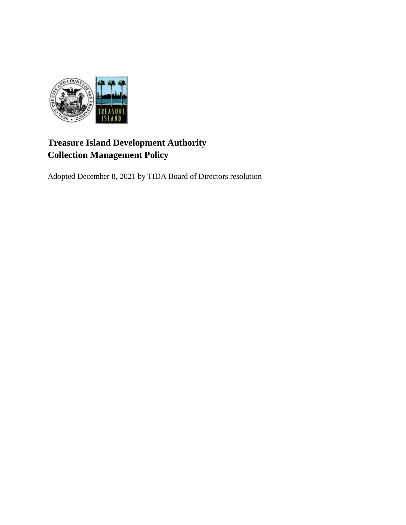

# **Treasure Island Development Authority Collection Management Policy**

Adopted December 8, 2021 by TIDA Board of Directors resolution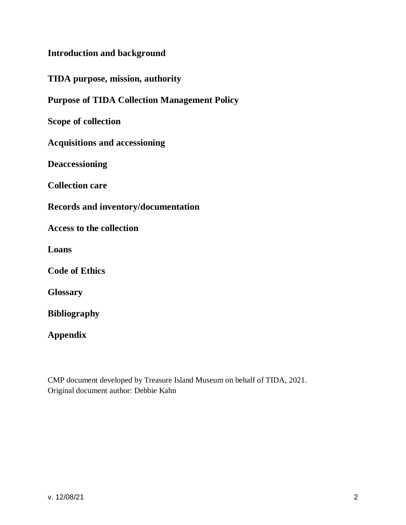| <b>Introduction and background</b> |
|------------------------------------|
|------------------------------------|

|  | TIDA purpose, mission, authority |
|--|----------------------------------|
|  |                                  |

**Purpose of TIDA Collection Management Policy**

**Scope of collection**

**Acquisitions and accessioning**

**Deaccessioning**

**Collection care**

**Records and inventory/documentation**

**Access to the collection**

**Loans**

**Code of Ethics**

**Glossary**

**Bibliography**

**Appendix**

CMP document developed by Treasure Island Museum on behalf of TIDA, 2021. Original document author: Debbie Kahn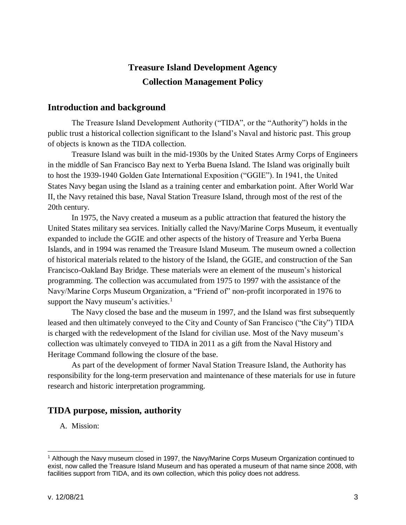# **Treasure Island Development Agency Collection Management Policy**

#### **Introduction and background**

The Treasure Island Development Authority ("TIDA", or the "Authority") holds in the public trust a historical collection significant to the Island's Naval and historic past. This group of objects is known as the TIDA collection.

Treasure Island was built in the mid-1930s by the United States Army Corps of Engineers in the middle of San Francisco Bay next to Yerba Buena Island. The Island was originally built to host the 1939-1940 Golden Gate International Exposition ("GGIE"). In 1941, the United States Navy began using the Island as a training center and embarkation point. After World War II, the Navy retained this base, Naval Station Treasure Island, through most of the rest of the 20th century.

In 1975, the Navy created a museum as a public attraction that featured the history the United States military sea services. Initially called the Navy/Marine Corps Museum, it eventually expanded to include the GGIE and other aspects of the history of Treasure and Yerba Buena Islands, and in 1994 was renamed the Treasure Island Museum. The museum owned a collection of historical materials related to the history of the Island, the GGIE, and construction of the San Francisco-Oakland Bay Bridge. These materials were an element of the museum's historical programming. The collection was accumulated from 1975 to 1997 with the assistance of the Navy/Marine Corps Museum Organization, a "Friend of" non-profit incorporated in 1976 to support the Navy museum's activities.<sup>1</sup>

The Navy closed the base and the museum in 1997, and the Island was first subsequently leased and then ultimately conveyed to the City and County of San Francisco ("the City") TIDA is charged with the redevelopment of the Island for civilian use. Most of the Navy museum's collection was ultimately conveyed to TIDA in 2011 as a gift from the Naval History and Heritage Command following the closure of the base.

As part of the development of former Naval Station Treasure Island, the Authority has responsibility for the long-term preservation and maintenance of these materials for use in future research and historic interpretation programming.

#### **TIDA purpose, mission, authority**

A. Mission:

<sup>1</sup> Although the Navy museum closed in 1997, the Navy/Marine Corps Museum Organization continued to exist, now called the Treasure Island Museum and has operated a museum of that name since 2008, with facilities support from TIDA, and its own collection, which this policy does not address.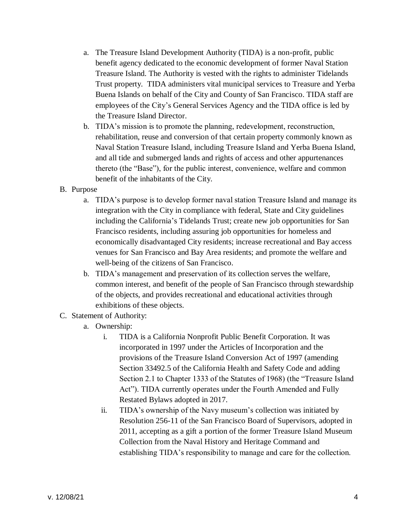- a. The Treasure Island Development Authority (TIDA) is a non-profit, public benefit agency dedicated to the economic development of former Naval Station Treasure Island. The Authority is vested with the rights to administer Tidelands Trust property. TIDA administers vital municipal services to Treasure and Yerba Buena Islands on behalf of the City and County of San Francisco. TIDA staff are employees of the City's General Services Agency and the TIDA office is led by the Treasure Island Director.
- b. TIDA's mission is to promote the planning, redevelopment, reconstruction, rehabilitation, reuse and conversion of that certain property commonly known as Naval Station Treasure Island, including Treasure Island and Yerba Buena Island, and all tide and submerged lands and rights of access and other appurtenances thereto (the "Base"), for the public interest, convenience, welfare and common benefit of the inhabitants of the City.
- B. Purpose
	- a. TIDA's purpose is to develop former naval station Treasure Island and manage its integration with the City in compliance with federal, State and City guidelines including the California's Tidelands Trust; create new job opportunities for San Francisco residents, including assuring job opportunities for homeless and economically disadvantaged City residents; increase recreational and Bay access venues for San Francisco and Bay Area residents; and promote the welfare and well-being of the citizens of San Francisco.
	- b. TIDA's management and preservation of its collection serves the welfare, common interest, and benefit of the people of San Francisco through stewardship of the objects, and provides recreational and educational activities through exhibitions of these objects.
- C. Statement of Authority:
	- a. Ownership:
		- i. TIDA is a California Nonprofit Public Benefit Corporation. It was incorporated in 1997 under the Articles of Incorporation and the provisions of the Treasure Island Conversion Act of 1997 (amending Section 33492.5 of the California Health and Safety Code and adding Section 2.1 to Chapter 1333 of the Statutes of 1968) (the "Treasure Island Act"). TIDA currently operates under the Fourth Amended and Fully Restated Bylaws adopted in 2017.
		- ii. TIDA's ownership of the Navy museum's collection was initiated by Resolution 256-11 of the San Francisco Board of Supervisors, adopted in 2011, accepting as a gift a portion of the former Treasure Island Museum Collection from the Naval History and Heritage Command and establishing TIDA's responsibility to manage and care for the collection.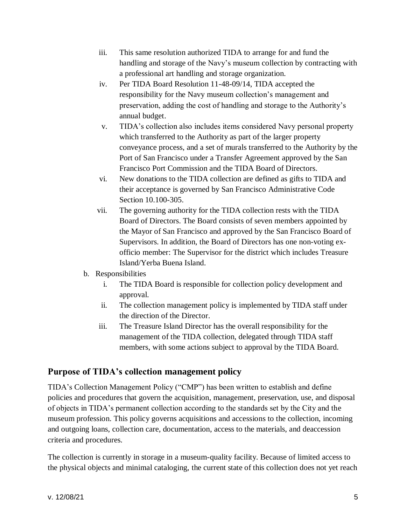- iii. This same resolution authorized TIDA to arrange for and fund the handling and storage of the Navy's museum collection by contracting with a professional art handling and storage organization.
- iv. Per TIDA Board Resolution 11-48-09/14, TIDA accepted the responsibility for the Navy museum collection's management and preservation, adding the cost of handling and storage to the Authority's annual budget.
- v. TIDA's collection also includes items considered Navy personal property which transferred to the Authority as part of the larger property conveyance process, and a set of murals transferred to the Authority by the Port of San Francisco under a Transfer Agreement approved by the San Francisco Port Commission and the TIDA Board of Directors.
- vi. New donations to the TIDA collection are defined as gifts to TIDA and their acceptance is governed by San Francisco Administrative Code Section 10.100-305.
- vii. The governing authority for the TIDA collection rests with the TIDA Board of Directors. The Board consists of seven members appointed by the Mayor of San Francisco and approved by the San Francisco Board of Supervisors. In addition, the Board of Directors has one non-voting exofficio member: The Supervisor for the district which includes Treasure Island/Yerba Buena Island.
- b. Responsibilities
	- i. The TIDA Board is responsible for collection policy development and approval.
	- ii. The collection management policy is implemented by TIDA staff under the direction of the Director.
	- iii. The Treasure Island Director has the overall responsibility for the management of the TIDA collection, delegated through TIDA staff members, with some actions subject to approval by the TIDA Board.

## **Purpose of TIDA's collection management policy**

TIDA's Collection Management Policy ("CMP") has been written to establish and define policies and procedures that govern the acquisition, management, preservation, use, and disposal of objects in TIDA's permanent collection according to the standards set by the City and the museum profession. This policy governs acquisitions and accessions to the collection, incoming and outgoing loans, collection care, documentation, access to the materials, and deaccession criteria and procedures.

The collection is currently in storage in a museum-quality facility. Because of limited access to the physical objects and minimal cataloging, the current state of this collection does not yet reach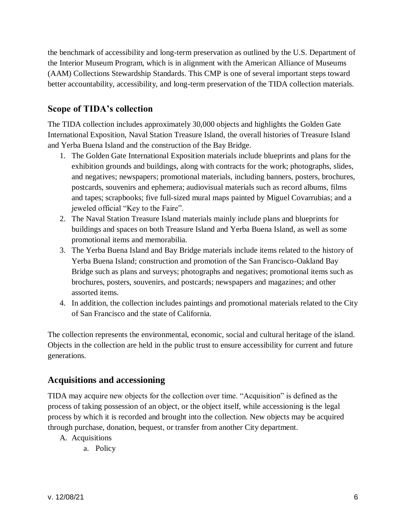the benchmark of accessibility and long-term preservation as outlined by the U.S. Department of the Interior Museum Program, which is in alignment with the American Alliance of Museums (AAM) Collections Stewardship Standards. This CMP is one of several important steps toward better accountability, accessibility, and long-term preservation of the TIDA collection materials.

## **Scope of TIDA's collection**

The TIDA collection includes approximately 30,000 objects and highlights the Golden Gate International Exposition, Naval Station Treasure Island, the overall histories of Treasure Island and Yerba Buena Island and the construction of the Bay Bridge.

- 1. The Golden Gate International Exposition materials include blueprints and plans for the exhibition grounds and buildings, along with contracts for the work; photographs, slides, and negatives; newspapers; promotional materials, including banners, posters, brochures, postcards, souvenirs and ephemera; audiovisual materials such as record albums, films and tapes; scrapbooks; five full-sized mural maps painted by Miguel Covarrubias; and a jeweled official "Key to the Faire".
- 2. The Naval Station Treasure Island materials mainly include plans and blueprints for buildings and spaces on both Treasure Island and Yerba Buena Island, as well as some promotional items and memorabilia.
- 3. The Yerba Buena Island and Bay Bridge materials include items related to the history of Yerba Buena Island; construction and promotion of the San Francisco-Oakland Bay Bridge such as plans and surveys; photographs and negatives; promotional items such as brochures, posters, souvenirs, and postcards; newspapers and magazines; and other assorted items.
- 4. In addition, the collection includes paintings and promotional materials related to the City of San Francisco and the state of California.

The collection represents the environmental, economic, social and cultural heritage of the island. Objects in the collection are held in the public trust to ensure accessibility for current and future generations.

## **Acquisitions and accessioning**

TIDA may acquire new objects for the collection over time. "Acquisition" is defined as the process of taking possession of an object, or the object itself, while accessioning is the legal process by which it is recorded and brought into the collection. New objects may be acquired through purchase, donation, bequest, or transfer from another City department.

- A. Acquisitions
	- a. Policy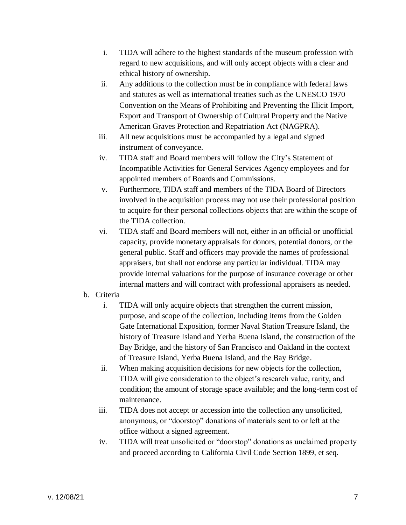- i. TIDA will adhere to the highest standards of the museum profession with regard to new acquisitions, and will only accept objects with a clear and ethical history of ownership.
- ii. Any additions to the collection must be in compliance with federal laws and statutes as well as international treaties such as the UNESCO 1970 Convention on the Means of Prohibiting and Preventing the Illicit Import, Export and Transport of Ownership of Cultural Property and the Native American Graves Protection and Repatriation Act (NAGPRA).
- iii. All new acquisitions must be accompanied by a legal and signed instrument of conveyance.
- iv. TIDA staff and Board members will follow the City's Statement of Incompatible Activities for General Services Agency employees and for appointed members of Boards and Commissions.
- v. Furthermore, TIDA staff and members of the TIDA Board of Directors involved in the acquisition process may not use their professional position to acquire for their personal collections objects that are within the scope of the TIDA collection.
- vi. TIDA staff and Board members will not, either in an official or unofficial capacity, provide monetary appraisals for donors, potential donors, or the general public. Staff and officers may provide the names of professional appraisers, but shall not endorse any particular individual. TIDA may provide internal valuations for the purpose of insurance coverage or other internal matters and will contract with professional appraisers as needed.

#### b. Criteria

- i. TIDA will only acquire objects that strengthen the current mission, purpose, and scope of the collection, including items from the Golden Gate International Exposition, former Naval Station Treasure Island, the history of Treasure Island and Yerba Buena Island, the construction of the Bay Bridge, and the history of San Francisco and Oakland in the context of Treasure Island, Yerba Buena Island, and the Bay Bridge.
- ii. When making acquisition decisions for new objects for the collection, TIDA will give consideration to the object's research value, rarity, and condition; the amount of storage space available; and the long-term cost of maintenance.
- iii. TIDA does not accept or accession into the collection any unsolicited, anonymous, or "doorstop" donations of materials sent to or left at the office without a signed agreement.
- iv. TIDA will treat unsolicited or "doorstop" donations as unclaimed property and proceed according to California Civil Code Section 1899, et seq.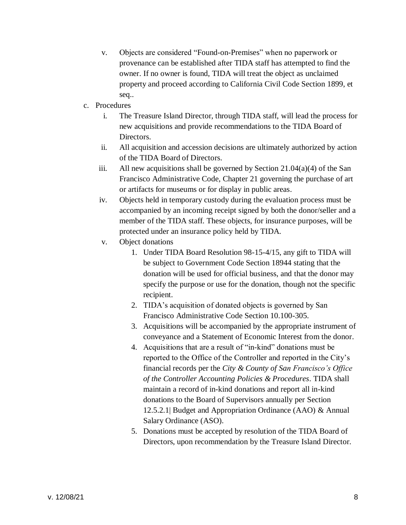- v. Objects are considered "Found-on-Premises" when no paperwork or provenance can be established after TIDA staff has attempted to find the owner. If no owner is found, TIDA will treat the object as unclaimed property and proceed according to California Civil Code Section 1899, et seq..
- c. Procedures
	- i. The Treasure Island Director, through TIDA staff, will lead the process for new acquisitions and provide recommendations to the TIDA Board of Directors.
	- ii. All acquisition and accession decisions are ultimately authorized by action of the TIDA Board of Directors.
	- iii. All new acquisitions shall be governed by Section  $21.04(a)(4)$  of the San Francisco Administrative Code, Chapter 21 governing the purchase of art or artifacts for museums or for display in public areas.
	- iv. Objects held in temporary custody during the evaluation process must be accompanied by an incoming receipt signed by both the donor/seller and a member of the TIDA staff. These objects, for insurance purposes, will be protected under an insurance policy held by TIDA.
	- v. Object donations
		- 1. Under TIDA Board Resolution 98-15-4/15, any gift to TIDA will be subject to Government Code Section 18944 stating that the donation will be used for official business, and that the donor may specify the purpose or use for the donation, though not the specific recipient.
		- 2. TIDA's acquisition of donated objects is governed by San Francisco Administrative Code Section 10.100-305.
		- 3. Acquisitions will be accompanied by the appropriate instrument of conveyance and a Statement of Economic Interest from the donor.
		- 4. Acquisitions that are a result of "in-kind" donations must be reported to the Office of the Controller and reported in the City's financial records per the *City & County of San Francisco's Office of the Controller Accounting Policies & Procedures*. TIDA shall maintain a record of in-kind donations and report all in-kind donations to the Board of Supervisors annually per Section 12.5.2.1| Budget and Appropriation Ordinance (AAO) & Annual Salary Ordinance (ASO).
		- 5. Donations must be accepted by resolution of the TIDA Board of Directors, upon recommendation by the Treasure Island Director.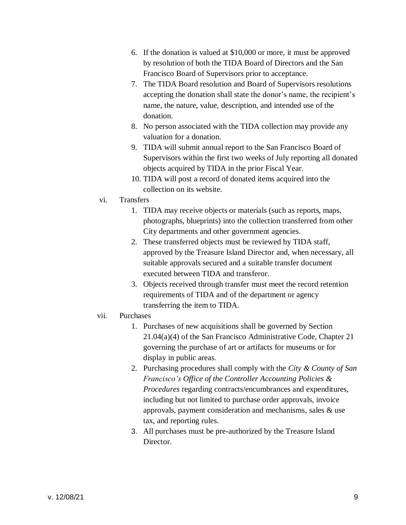- 6. If the donation is valued at \$10,000 or more, it must be approved by resolution of both the TIDA Board of Directors and the San Francisco Board of Supervisors prior to acceptance.
- 7. The TIDA Board resolution and Board of Supervisors resolutions accepting the donation shall state the donor's name, the recipient's name, the nature, value, description, and intended use of the donation.
- 8. No person associated with the TIDA collection may provide any valuation for a donation.
- 9. TIDA will submit annual report to the San Francisco Board of Supervisors within the first two weeks of July reporting all donated objects acquired by TIDA in the prior Fiscal Year.
- 10. TIDA will post a record of donated items acquired into the collection on its website.

#### vi. Transfers

- 1. TIDA may receive objects or materials (such as reports, maps, photographs, blueprints) into the collection transferred from other City departments and other government agencies.
- 2. These transferred objects must be reviewed by TIDA staff, approved by the Treasure Island Director and, when necessary, all suitable approvals secured and a suitable transfer document executed between TIDA and transferor.
- 3. Objects received through transfer must meet the record retention requirements of TIDA and of the department or agency transferring the item to TIDA.

#### vii. Purchases

- 1. Purchases of new acquisitions shall be governed by Section 21.04(a)(4) of the San Francisco Administrative Code, Chapter 21 governing the purchase of art or artifacts for museums or for display in public areas.
- 2. Purchasing procedures shall comply with the *City & County of San Francisco's Office of the Controller Accounting Policies & Procedures* regarding contracts/encumbrances and expenditures, including but not limited to purchase order approvals, invoice approvals, payment consideration and mechanisms, sales & use tax, and reporting rules.
- 3. All purchases must be pre-authorized by the Treasure Island Director.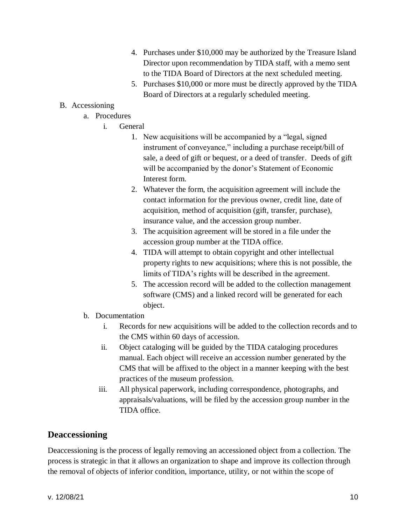- 4. Purchases under \$10,000 may be authorized by the Treasure Island Director upon recommendation by TIDA staff, with a memo sent to the TIDA Board of Directors at the next scheduled meeting.
- 5. Purchases \$10,000 or more must be directly approved by the TIDA Board of Directors at a regularly scheduled meeting.

### B. Accessioning

- a. Procedures
	- i. General
		- 1. New acquisitions will be accompanied by a "legal, signed instrument of conveyance," including a purchase receipt/bill of sale, a deed of gift or bequest, or a deed of transfer. Deeds of gift will be accompanied by the donor's Statement of Economic Interest form.
		- 2. Whatever the form, the acquisition agreement will include the contact information for the previous owner, credit line, date of acquisition, method of acquisition (gift, transfer, purchase), insurance value, and the accession group number.
		- 3. The acquisition agreement will be stored in a file under the accession group number at the TIDA office.
		- 4. TIDA will attempt to obtain copyright and other intellectual property rights to new acquisitions; where this is not possible, the limits of TIDA's rights will be described in the agreement.
		- 5. The accession record will be added to the collection management software (CMS) and a linked record will be generated for each object.
- b. Documentation
	- i. Records for new acquisitions will be added to the collection records and to the CMS within 60 days of accession.
	- ii. Object cataloging will be guided by the TIDA cataloging procedures manual. Each object will receive an accession number generated by the CMS that will be affixed to the object in a manner keeping with the best practices of the museum profession.
	- iii. All physical paperwork, including correspondence, photographs, and appraisals/valuations, will be filed by the accession group number in the TIDA office.

# **Deaccessioning**

Deaccessioning is the process of legally removing an accessioned object from a collection. The process is strategic in that it allows an organization to shape and improve its collection through the removal of objects of inferior condition, importance, utility, or not within the scope of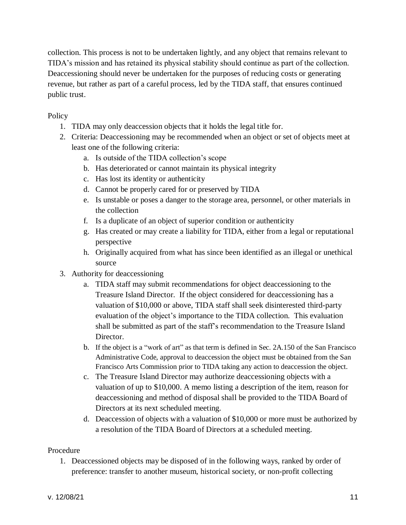collection. This process is not to be undertaken lightly, and any object that remains relevant to TIDA's mission and has retained its physical stability should continue as part of the collection. Deaccessioning should never be undertaken for the purposes of reducing costs or generating revenue, but rather as part of a careful process, led by the TIDA staff, that ensures continued public trust.

#### **Policy**

- 1. TIDA may only deaccession objects that it holds the legal title for.
- 2. Criteria: Deaccessioning may be recommended when an object or set of objects meet at least one of the following criteria:
	- a. Is outside of the TIDA collection's scope
	- b. Has deteriorated or cannot maintain its physical integrity
	- c. Has lost its identity or authenticity
	- d. Cannot be properly cared for or preserved by TIDA
	- e. Is unstable or poses a danger to the storage area, personnel, or other materials in the collection
	- f. Is a duplicate of an object of superior condition or authenticity
	- g. Has created or may create a liability for TIDA, either from a legal or reputational perspective
	- h. Originally acquired from what has since been identified as an illegal or unethical source
- 3. Authority for deaccessioning
	- a. TIDA staff may submit recommendations for object deaccessioning to the Treasure Island Director. If the object considered for deaccessioning has a valuation of \$10,000 or above, TIDA staff shall seek disinterested third-party evaluation of the object's importance to the TIDA collection. This evaluation shall be submitted as part of the staff's recommendation to the Treasure Island Director.
	- b. If the object is a "work of art" as that term is defined in Sec. 2A.150 of the San Francisco Administrative Code, approval to deaccession the object must be obtained from the San Francisco Arts Commission prior to TIDA taking any action to deaccession the object.
	- c. The Treasure Island Director may authorize deaccessioning objects with a valuation of up to \$10,000. A memo listing a description of the item, reason for deaccessioning and method of disposal shall be provided to the TIDA Board of Directors at its next scheduled meeting.
	- d. Deaccession of objects with a valuation of \$10,000 or more must be authorized by a resolution of the TIDA Board of Directors at a scheduled meeting.

#### Procedure

1. Deaccessioned objects may be disposed of in the following ways, ranked by order of preference: transfer to another museum, historical society, or non-profit collecting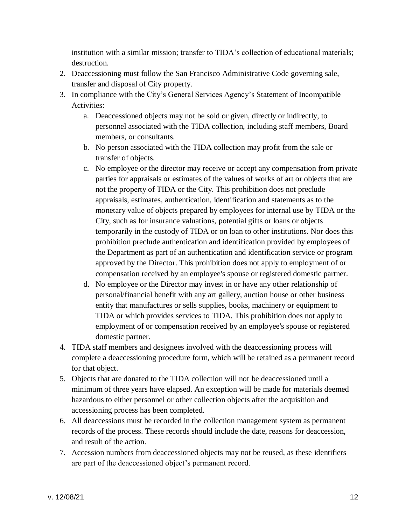institution with a similar mission; transfer to TIDA's collection of educational materials; destruction.

- 2. Deaccessioning must follow the San Francisco Administrative Code governing sale, transfer and disposal of City property.
- 3. In compliance with the City's General Services Agency's Statement of Incompatible Activities:
	- a. Deaccessioned objects may not be sold or given, directly or indirectly, to personnel associated with the TIDA collection, including staff members, Board members, or consultants.
	- b. No person associated with the TIDA collection may profit from the sale or transfer of objects.
	- c. No employee or the director may receive or accept any compensation from private parties for appraisals or estimates of the values of works of art or objects that are not the property of TIDA or the City. This prohibition does not preclude appraisals, estimates, authentication, identification and statements as to the monetary value of objects prepared by employees for internal use by TIDA or the City, such as for insurance valuations, potential gifts or loans or objects temporarily in the custody of TIDA or on loan to other institutions. Nor does this prohibition preclude authentication and identification provided by employees of the Department as part of an authentication and identification service or program approved by the Director. This prohibition does not apply to employment of or compensation received by an employee's spouse or registered domestic partner.
	- d. No employee or the Director may invest in or have any other relationship of personal/financial benefit with any art gallery, auction house or other business entity that manufactures or sells supplies, books, machinery or equipment to TIDA or which provides services to TIDA. This prohibition does not apply to employment of or compensation received by an employee's spouse or registered domestic partner.
- 4. TIDA staff members and designees involved with the deaccessioning process will complete a deaccessioning procedure form, which will be retained as a permanent record for that object.
- 5. Objects that are donated to the TIDA collection will not be deaccessioned until a minimum of three years have elapsed. An exception will be made for materials deemed hazardous to either personnel or other collection objects after the acquisition and accessioning process has been completed.
- 6. All deaccessions must be recorded in the collection management system as permanent records of the process. These records should include the date, reasons for deaccession, and result of the action.
- 7. Accession numbers from deaccessioned objects may not be reused, as these identifiers are part of the deaccessioned object's permanent record.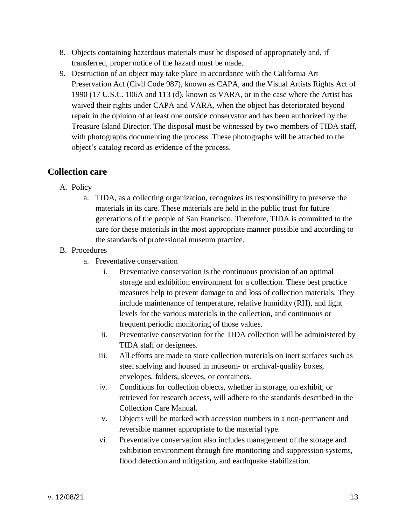- 8. Objects containing hazardous materials must be disposed of appropriately and, if transferred, proper notice of the hazard must be made.
- 9. Destruction of an object may take place in accordance with the California Art Preservation Act (Civil Code 987), known as CAPA, and the Visual Artists Rights Act of 1990 (17 U.S.C. 106A and 113 (d), known as VARA, or in the case where the Artist has waived their rights under CAPA and VARA, when the object has deteriorated beyond repair in the opinion of at least one outside conservator and has been authorized by the Treasure Island Director. The disposal must be witnessed by two members of TIDA staff, with photographs documenting the process. These photographs will be attached to the object's catalog record as evidence of the process.

### **Collection care**

- A. Policy
	- a. TIDA, as a collecting organization, recognizes its responsibility to preserve the materials in its care. These materials are held in the public trust for future generations of the people of San Francisco. Therefore, TIDA is committed to the care for these materials in the most appropriate manner possible and according to the standards of professional museum practice.

#### B. Procedures

- a. Preventative conservation
	- i. Preventative conservation is the continuous provision of an optimal storage and exhibition environment for a collection. These best practice measures help to prevent damage to and loss of collection materials. They include maintenance of temperature, relative humidity (RH), and light levels for the various materials in the collection, and continuous or frequent periodic monitoring of those values.
	- ii. Preventative conservation for the TIDA collection will be administered by TIDA staff or designees.
	- iii. All efforts are made to store collection materials on inert surfaces such as steel shelving and housed in museum- or archival-quality boxes, envelopes, folders, sleeves, or containers.
	- iv. Conditions for collection objects, whether in storage, on exhibit, or retrieved for research access, will adhere to the standards described in the Collection Care Manual.
	- v. Objects will be marked with accession numbers in a non-permanent and reversible manner appropriate to the material type.
	- vi. Preventative conservation also includes management of the storage and exhibition environment through fire monitoring and suppression systems, flood detection and mitigation, and earthquake stabilization.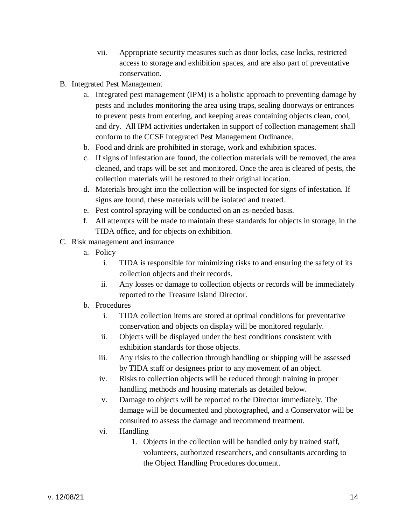- vii. Appropriate security measures such as door locks, case locks, restricted access to storage and exhibition spaces, and are also part of preventative conservation.
- B. Integrated Pest Management
	- a. Integrated pest management (IPM) is a holistic approach to preventing damage by pests and includes monitoring the area using traps, sealing doorways or entrances to prevent pests from entering, and keeping areas containing objects clean, cool, and dry. All IPM activities undertaken in support of collection management shall conform to the CCSF Integrated Pest Management Ordinance.
	- b. Food and drink are prohibited in storage, work and exhibition spaces.
	- c. If signs of infestation are found, the collection materials will be removed, the area cleaned, and traps will be set and monitored. Once the area is cleared of pests, the collection materials will be restored to their original location.
	- d. Materials brought into the collection will be inspected for signs of infestation. If signs are found, these materials will be isolated and treated.
	- e. Pest control spraying will be conducted on an as-needed basis.
	- f. All attempts will be made to maintain these standards for objects in storage, in the TIDA office, and for objects on exhibition.
- C. Risk management and insurance
	- a. Policy
		- i. TIDA is responsible for minimizing risks to and ensuring the safety of its collection objects and their records.
		- ii. Any losses or damage to collection objects or records will be immediately reported to the Treasure Island Director.
	- b. Procedures
		- i. TIDA collection items are stored at optimal conditions for preventative conservation and objects on display will be monitored regularly.
		- ii. Objects will be displayed under the best conditions consistent with exhibition standards for those objects.
		- iii. Any risks to the collection through handling or shipping will be assessed by TIDA staff or designees prior to any movement of an object.
		- iv. Risks to collection objects will be reduced through training in proper handling methods and housing materials as detailed below.
		- v. Damage to objects will be reported to the Director immediately. The damage will be documented and photographed, and a Conservator will be consulted to assess the damage and recommend treatment.
		- vi. Handling
			- 1. Objects in the collection will be handled only by trained staff, volunteers, authorized researchers, and consultants according to the Object Handling Procedures document.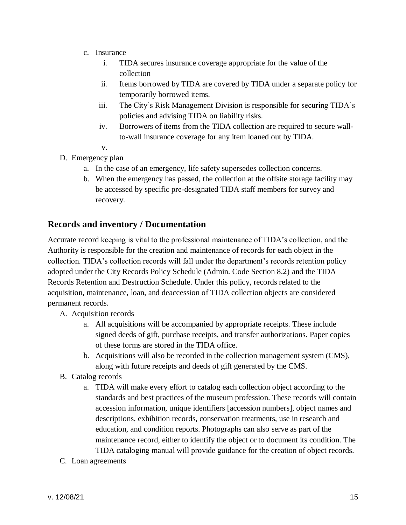- c. Insurance
	- i. TIDA secures insurance coverage appropriate for the value of the collection
	- ii. Items borrowed by TIDA are covered by TIDA under a separate policy for temporarily borrowed items.
	- iii. The City's Risk Management Division is responsible for securing TIDA's policies and advising TIDA on liability risks.
	- iv. Borrowers of items from the TIDA collection are required to secure wallto-wall insurance coverage for any item loaned out by TIDA.
	- v.
- D. Emergency plan
	- a. In the case of an emergency, life safety supersedes collection concerns.
	- b. When the emergency has passed, the collection at the offsite storage facility may be accessed by specific pre-designated TIDA staff members for survey and recovery.

## **Records and inventory / Documentation**

Accurate record keeping is vital to the professional maintenance of TIDA's collection, and the Authority is responsible for the creation and maintenance of records for each object in the collection. TIDA's collection records will fall under the department's records retention policy adopted under the City Records Policy Schedule (Admin. Code Section 8.2) and the TIDA Records Retention and Destruction Schedule. Under this policy, records related to the acquisition, maintenance, loan, and deaccession of TIDA collection objects are considered permanent records.

- A. Acquisition records
	- a. All acquisitions will be accompanied by appropriate receipts. These include signed deeds of gift, purchase receipts, and transfer authorizations. Paper copies of these forms are stored in the TIDA office.
	- b. Acquisitions will also be recorded in the collection management system (CMS), along with future receipts and deeds of gift generated by the CMS.
- B. Catalog records
	- a. TIDA will make every effort to catalog each collection object according to the standards and best practices of the museum profession. These records will contain accession information, unique identifiers [accession numbers], object names and descriptions, exhibition records, conservation treatments, use in research and education, and condition reports. Photographs can also serve as part of the maintenance record, either to identify the object or to document its condition. The TIDA cataloging manual will provide guidance for the creation of object records.
- C. Loan agreements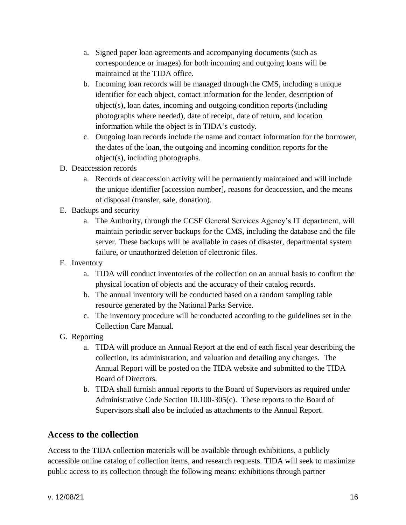- a. Signed paper loan agreements and accompanying documents (such as correspondence or images) for both incoming and outgoing loans will be maintained at the TIDA office.
- b. Incoming loan records will be managed through the CMS, including a unique identifier for each object, contact information for the lender, description of object(s), loan dates, incoming and outgoing condition reports (including photographs where needed), date of receipt, date of return, and location information while the object is in TIDA's custody.
- c. Outgoing loan records include the name and contact information for the borrower, the dates of the loan, the outgoing and incoming condition reports for the object(s), including photographs.
- D. Deaccession records
	- a. Records of deaccession activity will be permanently maintained and will include the unique identifier [accession number], reasons for deaccession, and the means of disposal (transfer, sale, donation).
- E. Backups and security
	- a. The Authority, through the CCSF General Services Agency's IT department, will maintain periodic server backups for the CMS, including the database and the file server. These backups will be available in cases of disaster, departmental system failure, or unauthorized deletion of electronic files.
- F. Inventory
	- a. TIDA will conduct inventories of the collection on an annual basis to confirm the physical location of objects and the accuracy of their catalog records.
	- b. The annual inventory will be conducted based on a random sampling table resource generated by the National Parks Service.
	- c. The inventory procedure will be conducted according to the guidelines set in the Collection Care Manual.
- G. Reporting
	- a. TIDA will produce an Annual Report at the end of each fiscal year describing the collection, its administration, and valuation and detailing any changes. The Annual Report will be posted on the TIDA website and submitted to the TIDA Board of Directors.
	- b. TIDA shall furnish annual reports to the Board of Supervisors as required under Administrative Code Section 10.100-305(c). These reports to the Board of Supervisors shall also be included as attachments to the Annual Report.

# **Access to the collection**

Access to the TIDA collection materials will be available through exhibitions, a publicly accessible online catalog of collection items, and research requests. TIDA will seek to maximize public access to its collection through the following means: exhibitions through partner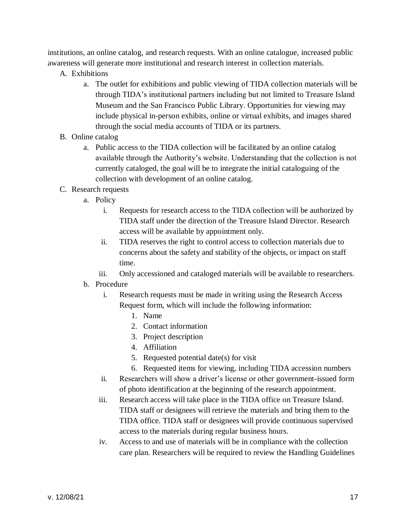institutions, an online catalog, and research requests. With an online catalogue, increased public awareness will generate more institutional and research interest in collection materials.

- A. Exhibitions
	- a. The outlet for exhibitions and public viewing of TIDA collection materials will be through TIDA's institutional partners including but not limited to Treasure Island Museum and the San Francisco Public Library. Opportunities for viewing may include physical in-person exhibits, online or virtual exhibits, and images shared through the social media accounts of TIDA or its partners.
- B. Online catalog
	- a. Public access to the TIDA collection will be facilitated by an online catalog available through the Authority's website. Understanding that the collection is not currently cataloged, the goal will be to integrate the initial cataloguing of the collection with development of an online catalog.
- C. Research requests
	- a. Policy
		- i. Requests for research access to the TIDA collection will be authorized by TIDA staff under the direction of the Treasure Island Director. Research access will be available by appointment only.
		- ii. TIDA reserves the right to control access to collection materials due to concerns about the safety and stability of the objects, or impact on staff time.
		- iii. Only accessioned and cataloged materials will be available to researchers.
	- b. Procedure
		- i. Research requests must be made in writing using the Research Access Request form, which will include the following information:
			- 1. Name
			- 2. Contact information
			- 3. Project description
			- 4. Affiliation
			- 5. Requested potential date(s) for visit
			- 6. Requested items for viewing, including TIDA accession numbers
		- ii. Researchers will show a driver's license or other government-issued form of photo identification at the beginning of the research appointment.
		- iii. Research access will take place in the TIDA office on Treasure Island. TIDA staff or designees will retrieve the materials and bring them to the TIDA office. TIDA staff or designees will provide continuous supervised access to the materials during regular business hours.
		- iv. Access to and use of materials will be in compliance with the collection care plan. Researchers will be required to review the Handling Guidelines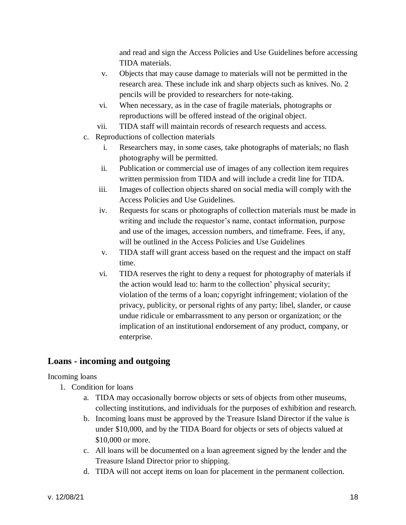and read and sign the Access Policies and Use Guidelines before accessing TIDA materials.

- v. Objects that may cause damage to materials will not be permitted in the research area. These include ink and sharp objects such as knives. No. 2 pencils will be provided to researchers for note-taking.
- vi. When necessary, as in the case of fragile materials, photographs or reproductions will be offered instead of the original object.
- vii. TIDA staff will maintain records of research requests and access.
- c. Reproductions of collection materials
	- i. Researchers may, in some cases, take photographs of materials; no flash photography will be permitted.
	- ii. Publication or commercial use of images of any collection item requires written permission from TIDA and will include a credit line for TIDA.
	- iii. Images of collection objects shared on social media will comply with the Access Policies and Use Guidelines.
	- iv. Requests for scans or photographs of collection materials must be made in writing and include the requestor's name, contact information, purpose and use of the images, accession numbers, and timeframe. Fees, if any, will be outlined in the Access Policies and Use Guidelines
	- v. TIDA staff will grant access based on the request and the impact on staff time.
	- vi. TIDA reserves the right to deny a request for photography of materials if the action would lead to: harm to the collection' physical security; violation of the terms of a loan; copyright infringement; violation of the privacy, publicity, or personal rights of any party; libel, slander, or cause undue ridicule or embarrassment to any person or organization; or the implication of an institutional endorsement of any product, company, or enterprise.

## **Loans - incoming and outgoing**

#### Incoming loans

- 1. Condition for loans
	- a. TIDA may occasionally borrow objects or sets of objects from other museums, collecting institutions, and individuals for the purposes of exhibition and research.
	- b. Incoming loans must be approved by the Treasure Island Director if the value is under \$10,000, and by the TIDA Board for objects or sets of objects valued at \$10,000 or more.
	- c. All loans will be documented on a loan agreement signed by the lender and the Treasure Island Director prior to shipping.
	- d. TIDA will not accept items on loan for placement in the permanent collection.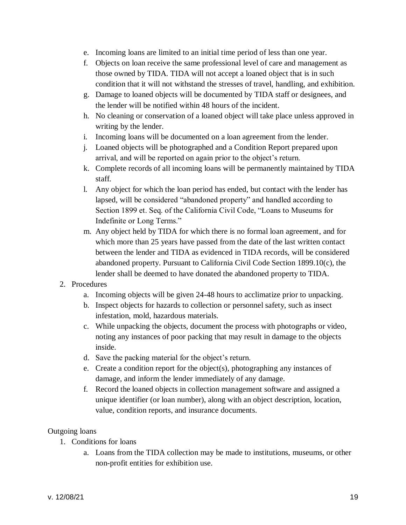- e. Incoming loans are limited to an initial time period of less than one year.
- f. Objects on loan receive the same professional level of care and management as those owned by TIDA. TIDA will not accept a loaned object that is in such condition that it will not withstand the stresses of travel, handling, and exhibition.
- g. Damage to loaned objects will be documented by TIDA staff or designees, and the lender will be notified within 48 hours of the incident.
- h. No cleaning or conservation of a loaned object will take place unless approved in writing by the lender.
- i. Incoming loans will be documented on a loan agreement from the lender.
- j. Loaned objects will be photographed and a Condition Report prepared upon arrival, and will be reported on again prior to the object's return.
- k. Complete records of all incoming loans will be permanently maintained by TIDA staff.
- l. Any object for which the loan period has ended, but contact with the lender has lapsed, will be considered "abandoned property" and handled according to Section 1899 et. Seq. of the California Civil Code, "Loans to Museums for Indefinite or Long Terms."
- m. Any object held by TIDA for which there is no formal loan agreement, and for which more than 25 years have passed from the date of the last written contact between the lender and TIDA as evidenced in TIDA records, will be considered abandoned property. Pursuant to California Civil Code Section 1899.10(c), the lender shall be deemed to have donated the abandoned property to TIDA.
- 2. Procedures
	- a. Incoming objects will be given 24-48 hours to acclimatize prior to unpacking.
	- b. Inspect objects for hazards to collection or personnel safety, such as insect infestation, mold, hazardous materials.
	- c. While unpacking the objects, document the process with photographs or video, noting any instances of poor packing that may result in damage to the objects inside.
	- d. Save the packing material for the object's return.
	- e. Create a condition report for the object(s), photographing any instances of damage, and inform the lender immediately of any damage.
	- f. Record the loaned objects in collection management software and assigned a unique identifier (or loan number), along with an object description, location, value, condition reports, and insurance documents.

#### Outgoing loans

- 1. Conditions for loans
	- a. Loans from the TIDA collection may be made to institutions, museums, or other non-profit entities for exhibition use.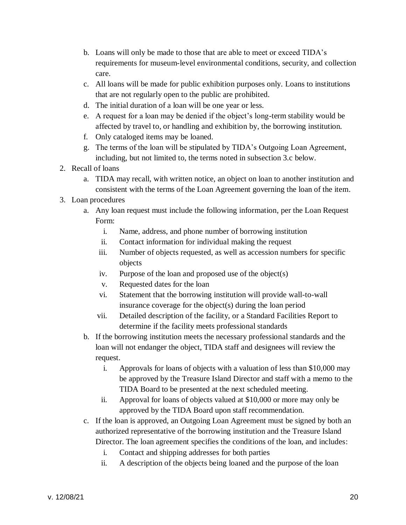- b. Loans will only be made to those that are able to meet or exceed TIDA's requirements for museum-level environmental conditions, security, and collection care.
- c. All loans will be made for public exhibition purposes only. Loans to institutions that are not regularly open to the public are prohibited.
- d. The initial duration of a loan will be one year or less.
- e. A request for a loan may be denied if the object's long-term stability would be affected by travel to, or handling and exhibition by, the borrowing institution.
- f. Only cataloged items may be loaned.
- g. The terms of the loan will be stipulated by TIDA's Outgoing Loan Agreement, including, but not limited to, the terms noted in subsection 3.c below.
- 2. Recall of loans
	- a. TIDA may recall, with written notice, an object on loan to another institution and consistent with the terms of the Loan Agreement governing the loan of the item.
- 3. Loan procedures
	- a. Any loan request must include the following information, per the Loan Request Form:
		- i. Name, address, and phone number of borrowing institution
		- ii. Contact information for individual making the request
		- iii. Number of objects requested, as well as accession numbers for specific objects
		- iv. Purpose of the loan and proposed use of the object(s)
		- v. Requested dates for the loan
		- vi. Statement that the borrowing institution will provide wall-to-wall insurance coverage for the object(s) during the loan period
		- vii. Detailed description of the facility, or a Standard Facilities Report to determine if the facility meets professional standards
	- b. If the borrowing institution meets the necessary professional standards and the loan will not endanger the object, TIDA staff and designees will review the request.
		- i. Approvals for loans of objects with a valuation of less than \$10,000 may be approved by the Treasure Island Director and staff with a memo to the TIDA Board to be presented at the next scheduled meeting.
		- ii. Approval for loans of objects valued at \$10,000 or more may only be approved by the TIDA Board upon staff recommendation.
	- c. If the loan is approved, an Outgoing Loan Agreement must be signed by both an authorized representative of the borrowing institution and the Treasure Island Director. The loan agreement specifies the conditions of the loan, and includes:
		- i. Contact and shipping addresses for both parties
		- ii. A description of the objects being loaned and the purpose of the loan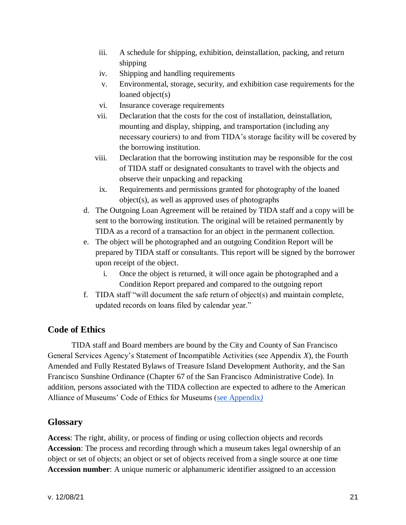- iii. A schedule for shipping, exhibition, deinstallation, packing, and return shipping
- iv. Shipping and handling requirements
- v. Environmental, storage, security, and exhibition case requirements for the loaned object(s)
- vi. Insurance coverage requirements
- vii. Declaration that the costs for the cost of installation, deinstallation, mounting and display, shipping, and transportation (including any necessary couriers) to and from TIDA's storage facility will be covered by the borrowing institution.
- viii. Declaration that the borrowing institution may be responsible for the cost of TIDA staff or designated consultants to travel with the objects and observe their unpacking and repacking
- ix. Requirements and permissions granted for photography of the loaned object(s), as well as approved uses of photographs
- d. The Outgoing Loan Agreement will be retained by TIDA staff and a copy will be sent to the borrowing institution. The original will be retained permanently by TIDA as a record of a transaction for an object in the permanent collection.
- e. The object will be photographed and an outgoing Condition Report will be prepared by TIDA staff or consultants. This report will be signed by the borrower upon receipt of the object.
	- i. Once the object is returned, it will once again be photographed and a Condition Report prepared and compared to the outgoing report
- f. TIDA staff "will document the safe return of object(s) and maintain complete, updated records on loans filed by calendar year."

# **Code of Ethics**

TIDA staff and Board members are bound by the City and County of San Francisco General Services Agency's Statement of Incompatible Activities (see Appendix *X*), the Fourth Amended and Fully Restated Bylaws of Treasure Island Development Authority, and the San Francisco Sunshine Ordinance (Chapter 67 of the San Francisco Administrative Code). In addition, persons associated with the TIDA collection are expected to adhere to the American Alliance of Museums' Code of Ethics for Museums [\(see](https://www.aam-us.org/programs/ethics-standards-and-professional-practices/code-of-ethics-for-museums/) Appendix*)*

## **Glossary**

**Access**: The right, ability, or process of finding or using collection objects and records **Accession**: The process and recording through which a museum takes legal ownership of an object or set of objects; an object or set of objects received from a single source at one time **Accession number**: A unique numeric or alphanumeric identifier assigned to an accession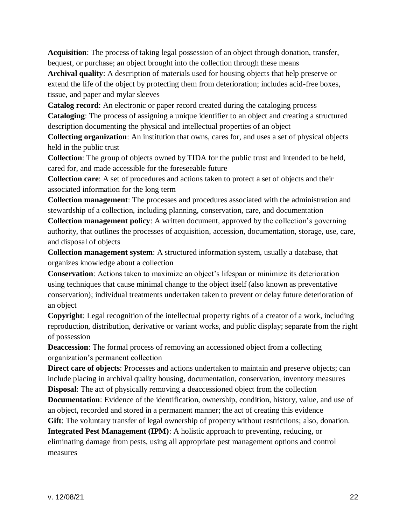**Acquisition**: The process of taking legal possession of an object through donation, transfer, bequest, or purchase; an object brought into the collection through these means

**Archival quality**: A description of materials used for housing objects that help preserve or extend the life of the object by protecting them from deterioration; includes acid-free boxes, tissue, and paper and mylar sleeves

**Catalog record**: An electronic or paper record created during the cataloging process

**Cataloging**: The process of assigning a unique identifier to an object and creating a structured description documenting the physical and intellectual properties of an object

**Collecting organization**: An institution that owns, cares for, and uses a set of physical objects held in the public trust

**Collection**: The group of objects owned by TIDA for the public trust and intended to be held, cared for, and made accessible for the foreseeable future

**Collection care**: A set of procedures and actions taken to protect a set of objects and their associated information for the long term

**Collection management**: The processes and procedures associated with the administration and stewardship of a collection, including planning, conservation, care, and documentation

**Collection management policy**: A written document, approved by the collection's governing authority, that outlines the processes of acquisition, accession, documentation, storage, use, care, and disposal of objects

**Collection management system**: A structured information system, usually a database, that organizes knowledge about a collection

**Conservation**: Actions taken to maximize an object's lifespan or minimize its deterioration using techniques that cause minimal change to the object itself (also known as preventative conservation); individual treatments undertaken taken to prevent or delay future deterioration of an object

**Copyright**: Legal recognition of the intellectual property rights of a creator of a work, including reproduction, distribution, derivative or variant works, and public display; separate from the right of possession

**Deaccession**: The formal process of removing an accessioned object from a collecting organization's permanent collection

**Direct care of objects**: Processes and actions undertaken to maintain and preserve objects; can include placing in archival quality housing, documentation, conservation, inventory measures **Disposal**: The act of physically removing a deaccessioned object from the collection

**Documentation**: Evidence of the identification, ownership, condition, history, value, and use of an object, recorded and stored in a permanent manner; the act of creating this evidence **Gift**: The voluntary transfer of legal ownership of property without restrictions; also, donation.

**Integrated Pest Management (IPM)**: A holistic approach to preventing, reducing, or eliminating damage from pests, using all appropriate pest management options and control measures